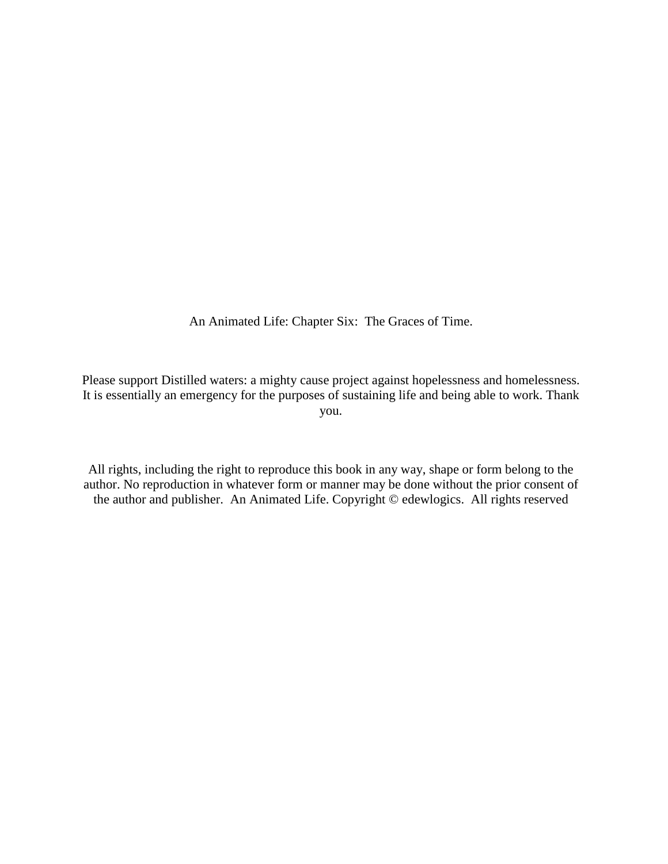An Animated Life: Chapter Six: The Graces of Time.

Please support Distilled waters: a mighty cause project against hopelessness and homelessness. It is essentially an emergency for the purposes of sustaining life and being able to work. Thank you.

All rights, including the right to reproduce this book in any way, shape or form belong to the author. No reproduction in whatever form or manner may be done without the prior consent of the author and publisher. An Animated Life. Copyright © edewlogics. All rights reserved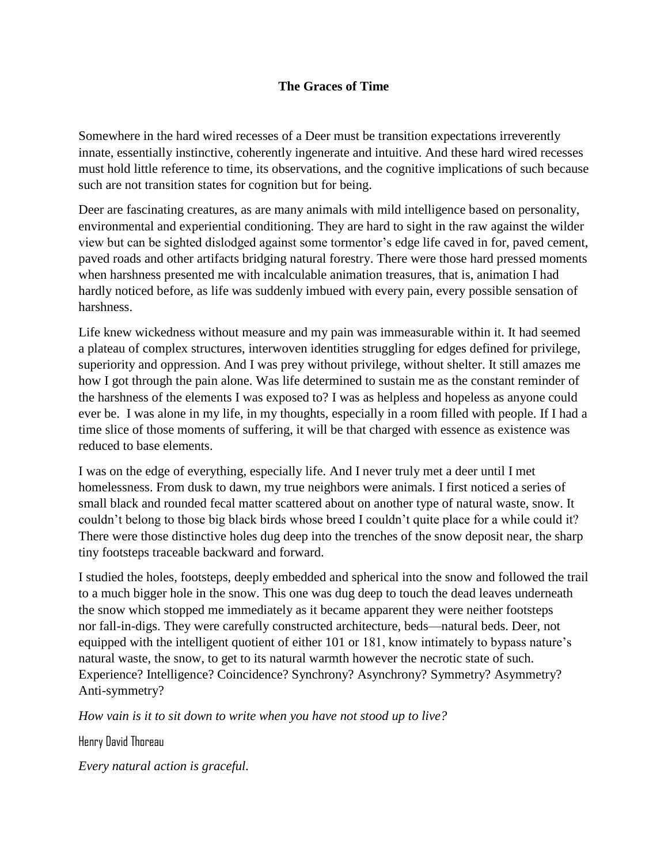## **The Graces of Time**

Somewhere in the hard wired recesses of a Deer must be transition expectations irreverently innate, essentially instinctive, coherently ingenerate and intuitive. And these hard wired recesses must hold little reference to time, its observations, and the cognitive implications of such because such are not transition states for cognition but for being.

Deer are fascinating creatures, as are many animals with mild intelligence based on personality, environmental and experiential conditioning. They are hard to sight in the raw against the wilder view but can be sighted dislodged against some tormentor's edge life caved in for, paved cement, paved roads and other artifacts bridging natural forestry. There were those hard pressed moments when harshness presented me with incalculable animation treasures, that is, animation I had hardly noticed before, as life was suddenly imbued with every pain, every possible sensation of harshness.

Life knew wickedness without measure and my pain was immeasurable within it. It had seemed a plateau of complex structures, interwoven identities struggling for edges defined for privilege, superiority and oppression. And I was prey without privilege, without shelter. It still amazes me how I got through the pain alone. Was life determined to sustain me as the constant reminder of the harshness of the elements I was exposed to? I was as helpless and hopeless as anyone could ever be. I was alone in my life, in my thoughts, especially in a room filled with people. If I had a time slice of those moments of suffering, it will be that charged with essence as existence was reduced to base elements.

I was on the edge of everything, especially life. And I never truly met a deer until I met homelessness. From dusk to dawn, my true neighbors were animals. I first noticed a series of small black and rounded fecal matter scattered about on another type of natural waste, snow. It couldn't belong to those big black birds whose breed I couldn't quite place for a while could it? There were those distinctive holes dug deep into the trenches of the snow deposit near, the sharp tiny footsteps traceable backward and forward.

I studied the holes, footsteps, deeply embedded and spherical into the snow and followed the trail to a much bigger hole in the snow. This one was dug deep to touch the dead leaves underneath the snow which stopped me immediately as it became apparent they were neither footsteps nor fall-in-digs. They were carefully constructed architecture, beds—natural beds. Deer, not equipped with the intelligent quotient of either 101 or 181, know intimately to bypass nature's natural waste, the snow, to get to its natural warmth however the necrotic state of such. Experience? Intelligence? Coincidence? Synchrony? Asynchrony? Symmetry? Asymmetry? Anti-symmetry?

*How vain is it to sit down to write when you have not stood up to live?*

Henry David Thoreau

*Every natural action is graceful.*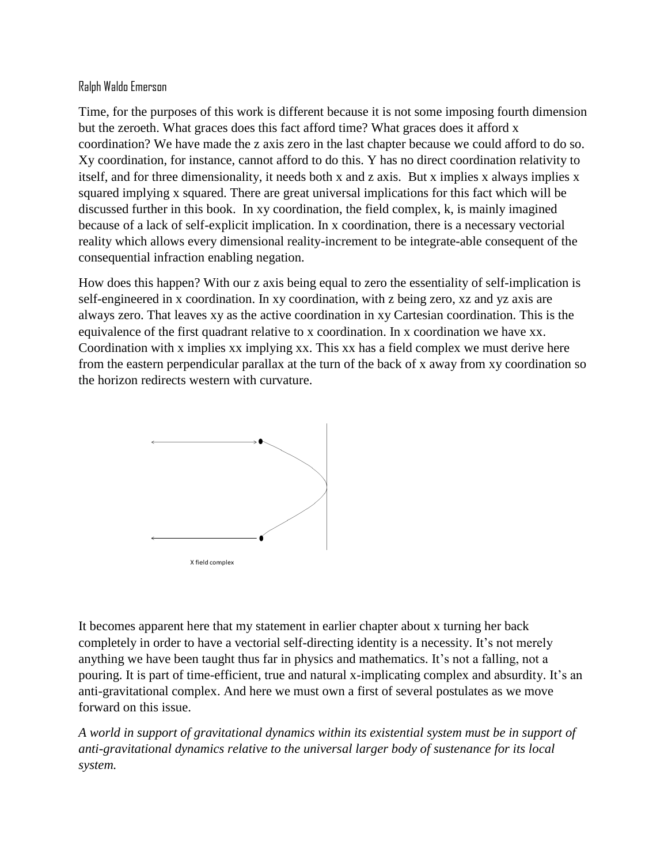## Ralph Waldo Emerson

Time, for the purposes of this work is different because it is not some imposing fourth dimension but the zeroeth. What graces does this fact afford time? What graces does it afford x coordination? We have made the z axis zero in the last chapter because we could afford to do so. Xy coordination, for instance, cannot afford to do this. Y has no direct coordination relativity to itself, and for three dimensionality, it needs both x and z axis. But x implies x always implies x squared implying x squared. There are great universal implications for this fact which will be discussed further in this book. In xy coordination, the field complex, k, is mainly imagined because of a lack of self-explicit implication. In x coordination, there is a necessary vectorial reality which allows every dimensional reality-increment to be integrate-able consequent of the consequential infraction enabling negation.

How does this happen? With our z axis being equal to zero the essentiality of self-implication is self-engineered in x coordination. In xy coordination, with z being zero, xz and yz axis are always zero. That leaves xy as the active coordination in xy Cartesian coordination. This is the equivalence of the first quadrant relative to x coordination. In x coordination we have xx. Coordination with x implies xx implying xx. This xx has a field complex we must derive here from the eastern perpendicular parallax at the turn of the back of x away from xy coordination so the horizon redirects western with curvature.



It becomes apparent here that my statement in earlier chapter about x turning her back completely in order to have a vectorial self-directing identity is a necessity. It's not merely anything we have been taught thus far in physics and mathematics. It's not a falling, not a pouring. It is part of time-efficient, true and natural x-implicating complex and absurdity. It's an anti-gravitational complex. And here we must own a first of several postulates as we move forward on this issue.

*A world in support of gravitational dynamics within its existential system must be in support of anti-gravitational dynamics relative to the universal larger body of sustenance for its local system.*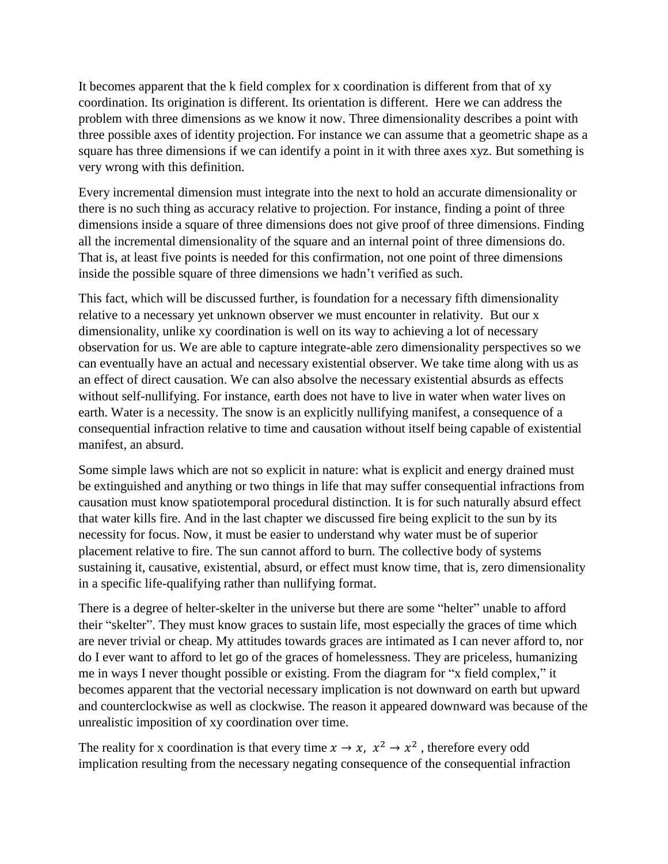It becomes apparent that the k field complex for x coordination is different from that of xy coordination. Its origination is different. Its orientation is different. Here we can address the problem with three dimensions as we know it now. Three dimensionality describes a point with three possible axes of identity projection. For instance we can assume that a geometric shape as a square has three dimensions if we can identify a point in it with three axes xyz. But something is very wrong with this definition.

Every incremental dimension must integrate into the next to hold an accurate dimensionality or there is no such thing as accuracy relative to projection. For instance, finding a point of three dimensions inside a square of three dimensions does not give proof of three dimensions. Finding all the incremental dimensionality of the square and an internal point of three dimensions do. That is, at least five points is needed for this confirmation, not one point of three dimensions inside the possible square of three dimensions we hadn't verified as such.

This fact, which will be discussed further, is foundation for a necessary fifth dimensionality relative to a necessary yet unknown observer we must encounter in relativity. But our x dimensionality, unlike xy coordination is well on its way to achieving a lot of necessary observation for us. We are able to capture integrate-able zero dimensionality perspectives so we can eventually have an actual and necessary existential observer. We take time along with us as an effect of direct causation. We can also absolve the necessary existential absurds as effects without self-nullifying. For instance, earth does not have to live in water when water lives on earth. Water is a necessity. The snow is an explicitly nullifying manifest, a consequence of a consequential infraction relative to time and causation without itself being capable of existential manifest, an absurd.

Some simple laws which are not so explicit in nature: what is explicit and energy drained must be extinguished and anything or two things in life that may suffer consequential infractions from causation must know spatiotemporal procedural distinction. It is for such naturally absurd effect that water kills fire. And in the last chapter we discussed fire being explicit to the sun by its necessity for focus. Now, it must be easier to understand why water must be of superior placement relative to fire. The sun cannot afford to burn. The collective body of systems sustaining it, causative, existential, absurd, or effect must know time, that is, zero dimensionality in a specific life-qualifying rather than nullifying format.

There is a degree of helter-skelter in the universe but there are some "helter" unable to afford their "skelter". They must know graces to sustain life, most especially the graces of time which are never trivial or cheap. My attitudes towards graces are intimated as I can never afford to, nor do I ever want to afford to let go of the graces of homelessness. They are priceless, humanizing me in ways I never thought possible or existing. From the diagram for "x field complex," it becomes apparent that the vectorial necessary implication is not downward on earth but upward and counterclockwise as well as clockwise. The reason it appeared downward was because of the unrealistic imposition of xy coordination over time.

The reality for x coordination is that every time  $x \to x$ ,  $x^2 \to x^2$ , therefore every odd implication resulting from the necessary negating consequence of the consequential infraction